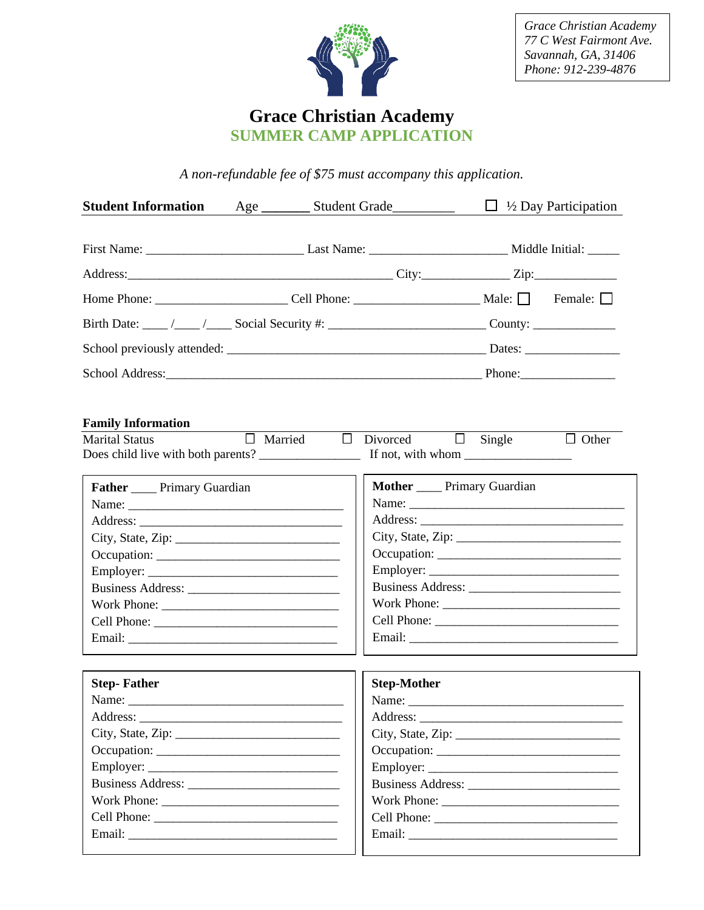

*Grace Christian Academy 77 C West Fairmont Ave. Savannah, GA, 31406 Phone: 912-239-4876*

## **Grace Christian Academy SUMMER CAMP APPLICATION**

*A non-refundable fee of \$75 must accompany this application.*

| <b>Student Information</b>                                                                                                                                                                                                     | Age __________ Student Grade___________ |                          |                                     | $\Box$ 1/2 Day Participation |              |
|--------------------------------------------------------------------------------------------------------------------------------------------------------------------------------------------------------------------------------|-----------------------------------------|--------------------------|-------------------------------------|------------------------------|--------------|
|                                                                                                                                                                                                                                |                                         |                          |                                     |                              |              |
|                                                                                                                                                                                                                                |                                         |                          |                                     |                              |              |
| Address: City: City: City: City: City: City: City: City: City: City: City: City: City: City: City: City: City: City: City: City: City: City: City: City: City: City: City: City: City: City: City: City: City: City: City: Cit |                                         |                          |                                     |                              |              |
|                                                                                                                                                                                                                                |                                         |                          |                                     |                              |              |
|                                                                                                                                                                                                                                |                                         |                          |                                     |                              |              |
|                                                                                                                                                                                                                                |                                         |                          |                                     |                              |              |
|                                                                                                                                                                                                                                |                                         |                          |                                     |                              |              |
|                                                                                                                                                                                                                                |                                         |                          |                                     |                              |              |
| <b>Family Information</b>                                                                                                                                                                                                      |                                         |                          |                                     |                              |              |
| <b>Marital Status</b>                                                                                                                                                                                                          |                                         | $\Box$ Married<br>$\Box$ | Divorced $\Box$ Single              |                              | $\Box$ Other |
|                                                                                                                                                                                                                                |                                         |                          |                                     |                              |              |
| <b>Father ____</b> Primary Guardian                                                                                                                                                                                            |                                         |                          | <b>Mother ____</b> Primary Guardian |                              |              |
|                                                                                                                                                                                                                                |                                         |                          |                                     |                              |              |
|                                                                                                                                                                                                                                |                                         |                          |                                     |                              |              |
|                                                                                                                                                                                                                                |                                         |                          | City, State, Zip:                   |                              |              |
|                                                                                                                                                                                                                                |                                         |                          |                                     |                              |              |
| Employer:                                                                                                                                                                                                                      |                                         |                          |                                     |                              |              |
|                                                                                                                                                                                                                                |                                         |                          |                                     |                              |              |
|                                                                                                                                                                                                                                |                                         |                          |                                     |                              |              |
|                                                                                                                                                                                                                                |                                         |                          |                                     |                              |              |
|                                                                                                                                                                                                                                |                                         |                          |                                     |                              |              |
| <b>Step-Father</b>                                                                                                                                                                                                             |                                         |                          | <b>Step-Mother</b>                  |                              |              |
|                                                                                                                                                                                                                                |                                         |                          |                                     |                              |              |
|                                                                                                                                                                                                                                |                                         |                          |                                     |                              |              |
|                                                                                                                                                                                                                                |                                         |                          | City, State, Zip:                   |                              |              |
| Occupation:                                                                                                                                                                                                                    |                                         |                          |                                     |                              |              |
|                                                                                                                                                                                                                                |                                         |                          |                                     |                              |              |
|                                                                                                                                                                                                                                |                                         |                          |                                     |                              |              |
|                                                                                                                                                                                                                                |                                         |                          |                                     |                              |              |
|                                                                                                                                                                                                                                |                                         |                          |                                     |                              |              |
|                                                                                                                                                                                                                                |                                         |                          |                                     |                              |              |
|                                                                                                                                                                                                                                |                                         |                          |                                     |                              |              |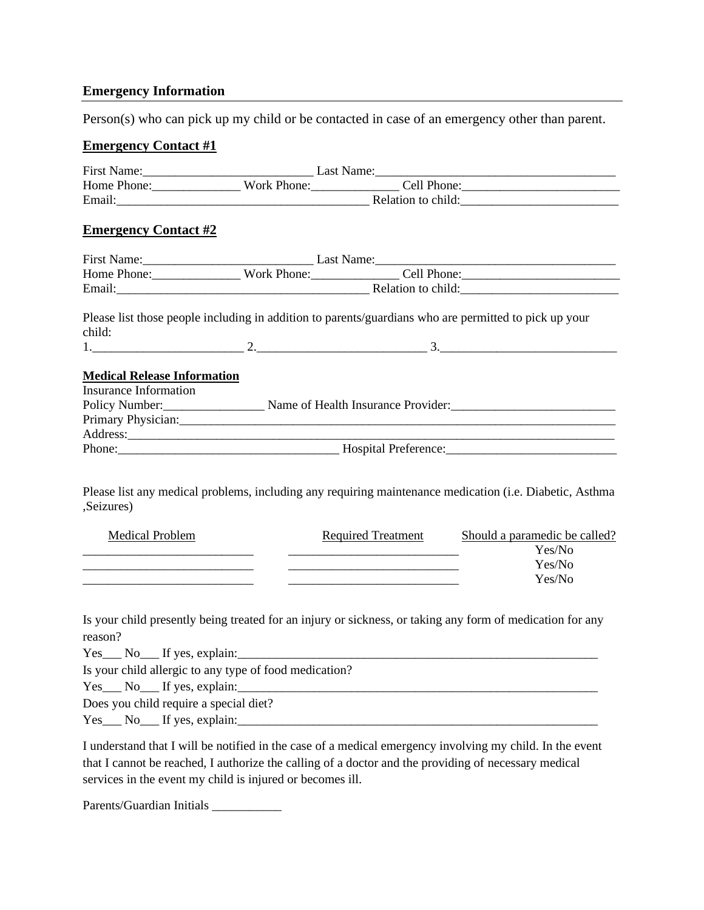## **Emergency Information**

Person(s) who can pick up my child or be contacted in case of an emergency other than parent.

## **Emergency Contact #1**

| <b>Emergency Contact #2</b>                                        |  |                                                                                                                                                                                                                                               |                                                                                                           |  |  |
|--------------------------------------------------------------------|--|-----------------------------------------------------------------------------------------------------------------------------------------------------------------------------------------------------------------------------------------------|-----------------------------------------------------------------------------------------------------------|--|--|
|                                                                    |  |                                                                                                                                                                                                                                               |                                                                                                           |  |  |
|                                                                    |  |                                                                                                                                                                                                                                               |                                                                                                           |  |  |
|                                                                    |  |                                                                                                                                                                                                                                               |                                                                                                           |  |  |
| child:                                                             |  |                                                                                                                                                                                                                                               | Please list those people including in addition to parents/guardians who are permitted to pick up your     |  |  |
|                                                                    |  |                                                                                                                                                                                                                                               | $1.$ $3.$                                                                                                 |  |  |
| <b>Medical Release Information</b><br><b>Insurance Information</b> |  |                                                                                                                                                                                                                                               | Policy Number:<br>Name of Health Insurance Provider:<br>1990 - Anne Manuel Ann and Provider:              |  |  |
|                                                                    |  |                                                                                                                                                                                                                                               |                                                                                                           |  |  |
| ,Seizures)                                                         |  |                                                                                                                                                                                                                                               | Please list any medical problems, including any requiring maintenance medication (i.e. Diabetic, Asthma   |  |  |
| <b>Medical Problem</b>                                             |  | <u> 1989 - Johann Harry Harry Harry Harry Harry Harry Harry Harry Harry Harry Harry Harry Harry Harry Harry Harry</u><br><u> 1989 - Johann Barbara, martin amerikan basar dan bagian dalam pengaran bagian dalam pengaran bagian dalam pe</u> | Required Treatment Should a paramedic be called?<br>Yes/No<br>Yes/No<br>Yes/No                            |  |  |
| reason?<br>$Yes$ No If yes, explain:                               |  |                                                                                                                                                                                                                                               | Is your child presently being treated for an injury or sickness, or taking any form of medication for any |  |  |
| Is your child allergic to any type of food medication?             |  |                                                                                                                                                                                                                                               |                                                                                                           |  |  |
|                                                                    |  |                                                                                                                                                                                                                                               |                                                                                                           |  |  |
| Does you child require a special diet?                             |  |                                                                                                                                                                                                                                               |                                                                                                           |  |  |

Does you child require a special diet?

I understand that I will be notified in the case of a medical emergency involving my child. In the event that I cannot be reached, I authorize the calling of a doctor and the providing of necessary medical services in the event my child is injured or becomes ill.

 $Y$ es, explaining:  $Y$  is given by  $Y$  , explaining  $\overline{Y}$ 

Parents/Guardian Initials